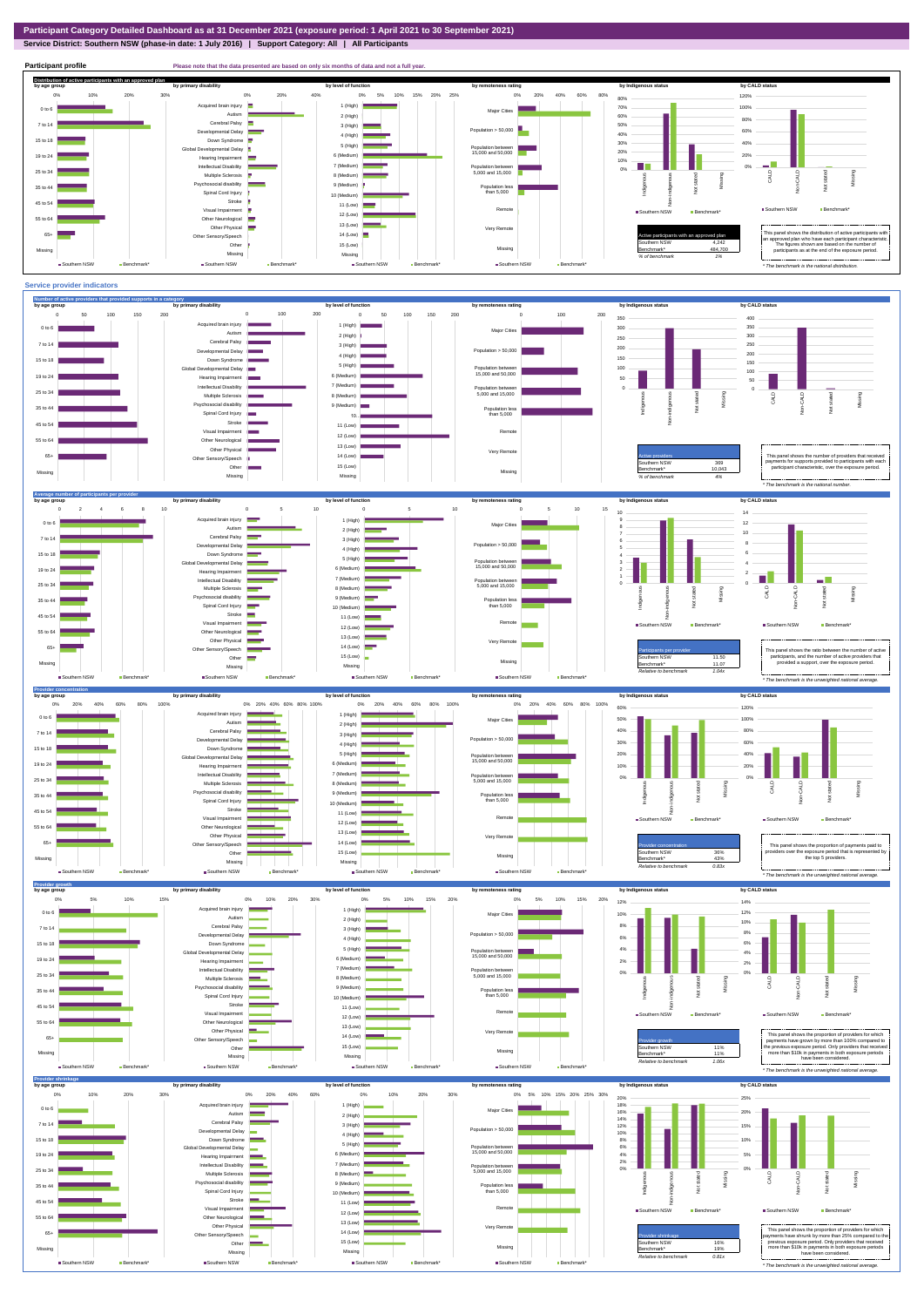## **Service District: Southern NSW (phase-in date: 1 July 2016) | Support Category: All | All Participants**



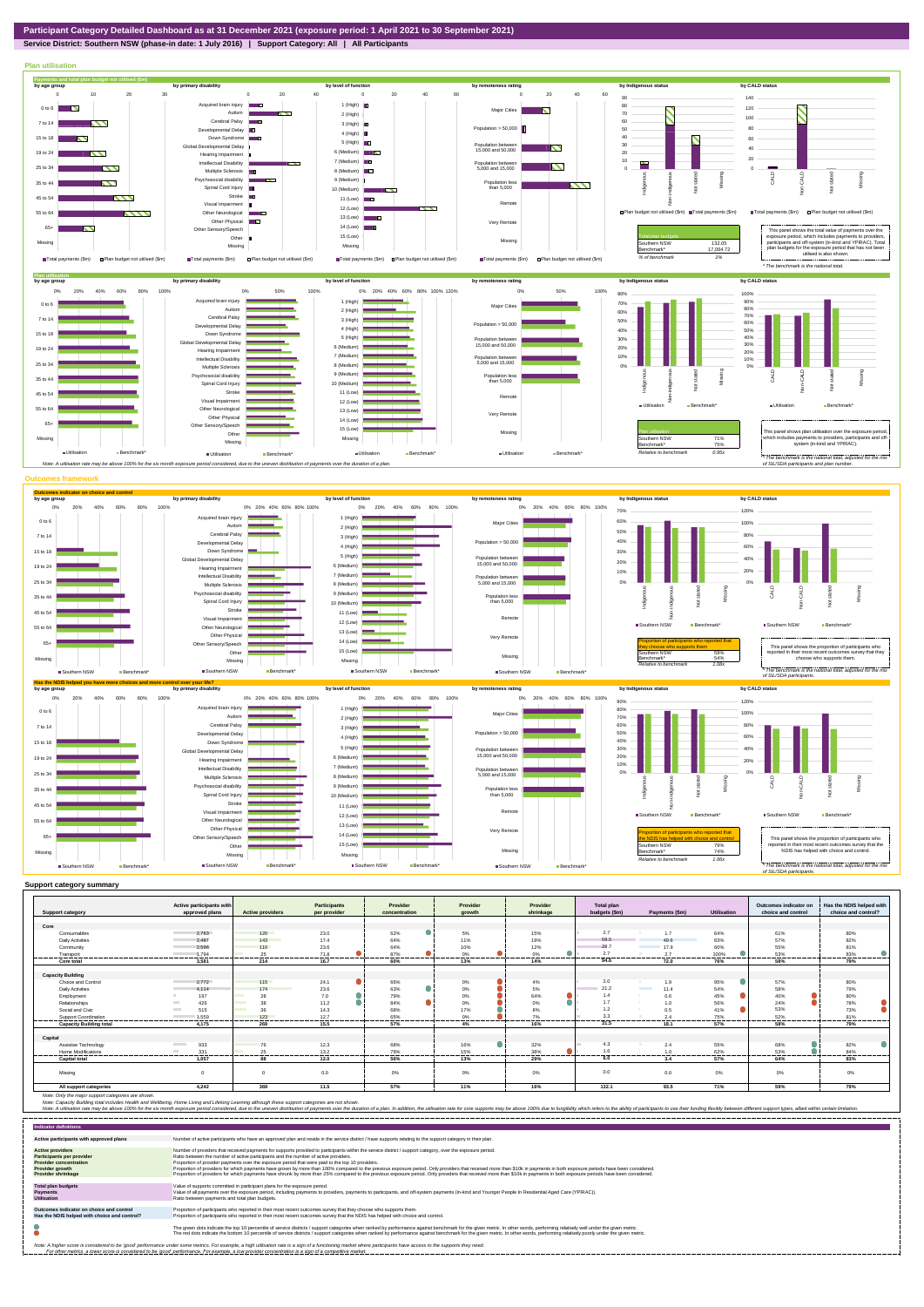## **Service District: Southern NSW (phase-in date: 1 July 2016) | Support Category: All | All Participants**



|                                | Active participants with        |                                | <b>Participants</b> | Provider       | Provider        | Provider  | <b>Total plan</b> |                           |                    | Outcomes indicator on | Has the NDIS helped with |
|--------------------------------|---------------------------------|--------------------------------|---------------------|----------------|-----------------|-----------|-------------------|---------------------------|--------------------|-----------------------|--------------------------|
| <b>Support category</b>        | approved plans                  | <b>Active providers</b>        | per provider        | concentration  | arowth          | shrinkage | budgets (\$m)     | Payments (\$m)            | <b>Utilisation</b> | choice and control    | choice and control?      |
| Core                           |                                 |                                |                     |                |                 |           |                   |                           |                    |                       |                          |
| Consumables                    | 2.763                           | 120                            | 23.0                | 62%<br>U.      | 5%              | 15%       | 2.7               | 1.7                       | 64%                | 61%                   | 80%                      |
| <b>Daily Activities</b>        | 2.487                           | 143                            | 17.4                | 64%            | 11%             | 19%       | 59.5              | 49.6                      | 83%                | 57%                   | 82%                      |
| Community                      | 2.596                           | 110                            | 23.6                | 64%            | 10%             | 12%       | 29.7              | 17.9                      | 60%                | 55%                   | 81%                      |
| Transport                      | 1.794                           | 25                             | 71.8                | 87%            | $0\%$           | 0%        | 2.7               | 2.7                       | 100%               | 53%                   | 83%                      |
| Core total                     | 3.581                           | ------<br>214                  | -------<br>16.7     | 60%            | .<br>13%        | <br>14%   | <br>94.6          | 72.0                      | ------<br>76%      | -------<br>58%        | .<br>79%                 |
|                                |                                 |                                |                     |                |                 |           |                   |                           |                    |                       |                          |
| <b>Capacity Building</b>       |                                 |                                |                     |                |                 |           |                   |                           |                    |                       |                          |
| Choice and Control             | 2.772                           | 115                            | 24.1                | 66%            | 0%              | 4%        | 2.0               | 1.9                       | 95%                | 57%                   | 80%                      |
| <b>Daily Activities</b>        | 4.114                           | 174                            | 23.6                | 63%            | $0\%$           | 5%        | 21.2              | <b>Contractor</b><br>11.4 | 54%                | 58%                   | 79%                      |
| Employment                     | 197                             | 28                             | 7.0                 | 79%            | $0\%$           | 64%       | 1.4               | 0.6                       | 45%                | 40%                   | 80%                      |
| Relationships                  | 426                             | 38                             | 11.2                | 84%            | $0\%$           | $0\%$     | 1.7               | 1.0                       | 56%                | 24%                   | 78%                      |
| Social and Civic               | <b>College</b><br>515           | <b>Contract Contract</b><br>36 | 14.3                | 68%            | 17%             | 8%        | 1.2               | 0.5                       | 41%                | 53%                   | 73%                      |
| Support Coordination           | 1.559                           | 123<br>------                  | 12.7<br>-------     | 65%<br>------- | $0\%$<br>------ | 7%<br>.   | 3.3<br>--------   | 2.4                       | 75%<br>-------     | 52%<br>               | 81%<br>                  |
| <b>Capacity Building total</b> | 4.175                           | 269                            | 15.5                | 57%            | 4%              | 16%       | 31.5              | 18.1                      | 57%                | 58%                   | 79%                      |
|                                |                                 |                                |                     |                |                 |           |                   |                           |                    |                       |                          |
| Capital                        |                                 |                                |                     |                |                 |           |                   |                           |                    |                       |                          |
| Assistive Technology           | 933<br><b>Contract Contract</b> |                                | 12.3                | 68%            | 16%             | 32%       | 4.3               | 2.4                       | 55%                | 68%                   | 82%                      |
| <b>Home Modifications</b>      | 331<br><b>COL</b>               | 25                             | 13.2                | 79%            | 15%             | 38%       | 1.6               | 1.0                       | 62%                | 53%                   | 84%                      |
| <b>Capital total</b>           | 1.057                           | 88                             | 12.0                | 56%            | 13%             | 29%       | 6.0               | 3.4                       | 57%                | 64%                   | 83%                      |
| Missina                        |                                 | $\Omega$                       | 0.0                 | 0%             | 0%              | 0%        | 0.0               | 0.0                       | 0%                 | $0\%$                 | 0%                       |
| All support categories         | 4.242                           | 369                            | 11.5                | 57%            | 11%             | 16%       | 132.1             | 93.5                      | 71%                | 59%                   | 79%                      |

Note: Only the major support categories are shown.<br>Note: Capacity Building total individual Wellbeing, Home Living and Lifelong Learning although these support categories are not shown.<br>Note: A utilisation rate may be abov

| <b>Indicator definitions</b>                                                                                                                        |                                                                                                                                                                                                                                                                                                                                                                                                                                                                                                                                                                                                                                                                                                                                                                                                                 |
|-----------------------------------------------------------------------------------------------------------------------------------------------------|-----------------------------------------------------------------------------------------------------------------------------------------------------------------------------------------------------------------------------------------------------------------------------------------------------------------------------------------------------------------------------------------------------------------------------------------------------------------------------------------------------------------------------------------------------------------------------------------------------------------------------------------------------------------------------------------------------------------------------------------------------------------------------------------------------------------|
| Active participants with approved plans                                                                                                             | Number of active participants who have an approved plan and reside in the service district / have supports relating to the support category in their plan.                                                                                                                                                                                                                                                                                                                                                                                                                                                                                                                                                                                                                                                      |
| <b>Active providers</b><br><b>Participants per provider</b><br><b>Provider concentration</b><br><b>Provider growth</b><br><b>Provider shrinkage</b> | Number of providers that received payments for supports provided to participants within the service district / support category, over the exposure period.<br>Ratio between the number of active participants and the number of active providers.<br>Proportion of provider payments over the exposure period that were paid to the top 10 providers.<br>Proportion of providers for which payments have grown by more than 100% compared to the previous exposure period. Only providers that received more than \$10k in payments in both exposure periods have been considered.<br>Proportion of providers for which payments have shrunk by more than 25% compared to the previous exposure period. Only providers that received more than \$10k in payments in both exposure periods have been considered. |
| <b>Total plan budgets</b><br><b>Payments</b><br><b>Utilisation</b>                                                                                  | Value of supports committed in participant plans for the exposure period.<br>Value of all payments over the exposure period, including payments to providers, payments to participants, and off-system payments (in-kind and Younger People In Residential Aged Care (YPIRAC)).<br>Ratio between payments and total plan budgets.                                                                                                                                                                                                                                                                                                                                                                                                                                                                               |
| Outcomes indicator on choice and control<br>Has the NDIS helped with choice and control?                                                            | Proportion of participants who reported in their most recent outcomes survey that they choose who supports them.<br>Proportion of participants who reported in their most recent outcomes survey that the NDIS has helped with choice and control.                                                                                                                                                                                                                                                                                                                                                                                                                                                                                                                                                              |
|                                                                                                                                                     | The green dots indicate the top 10 percentile of service districts / support categories when ranked by performance against benchmark for the given metric. In other words, performing relatively well under the given metric.<br>The red dots indicate the bottom 10 percentile of service districts / support categories when ranked by performance against benchmark for the given metric. In other words, performing relatively poorly under the given metri                                                                                                                                                                                                                                                                                                                                                 |
|                                                                                                                                                     | Note: A higher score is considered to be 'good' performance under some metrics. For example, a high utilisation rate is a sign of a functioning market where participants have access to the supports they need.<br>For other metrics, a lower score is considered to be 'good' performance. For example, a low provider concentration is a sign of a competitive market.                                                                                                                                                                                                                                                                                                                                                                                                                                       |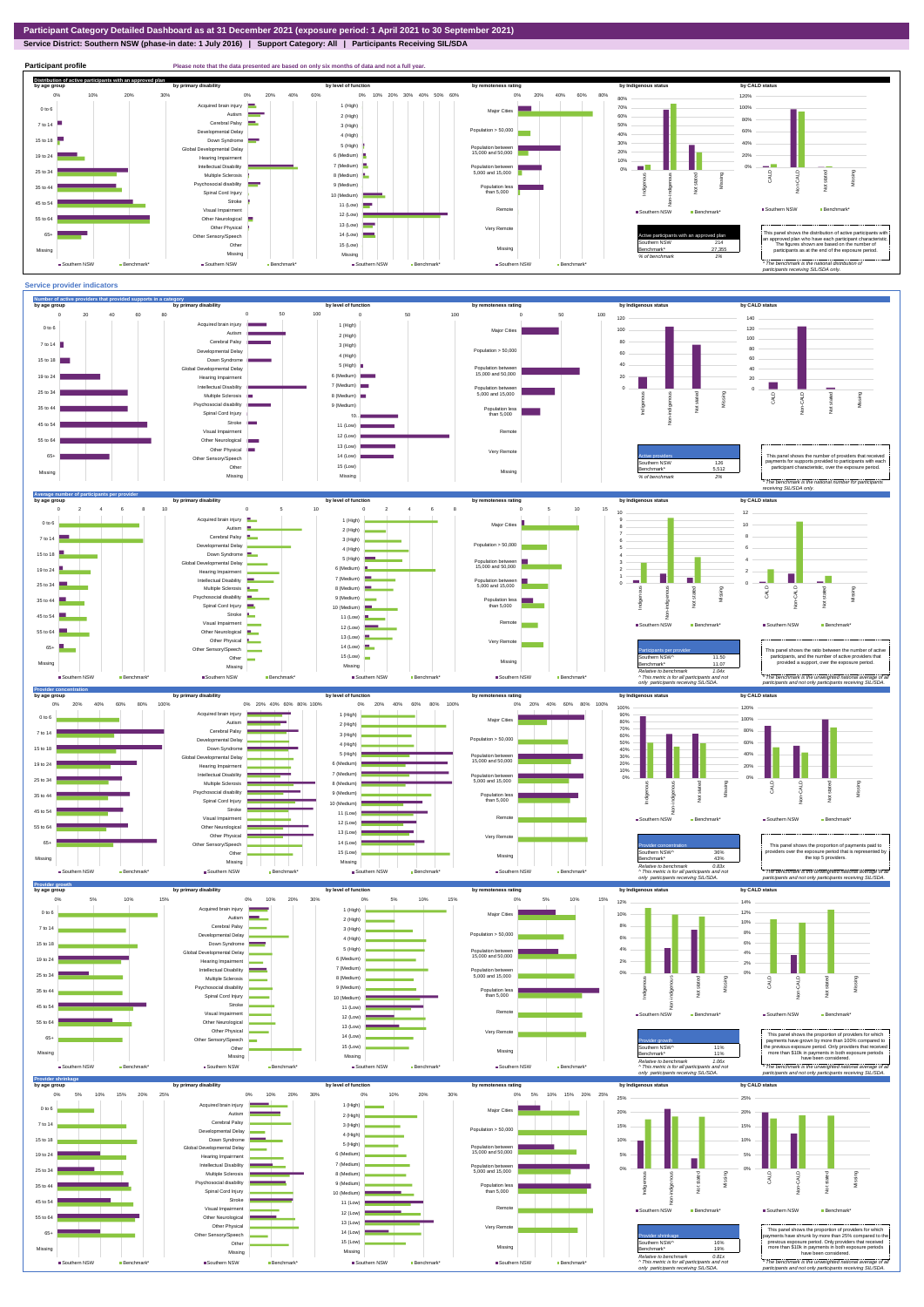**Service District: Southern NSW (phase-in date: 1 July 2016) | Support Category: All | Participants Receiving SIL/SDA**

![](_page_2_Figure_2.jpeg)

Global Developmental Delay Hearing Impairment Intellectual Disability

![](_page_2_Figure_3.jpeg)

2% 4%

2% 4%

Population between 15,000 and 50,000

6 (Medium) 7 (Medium)

19 to 24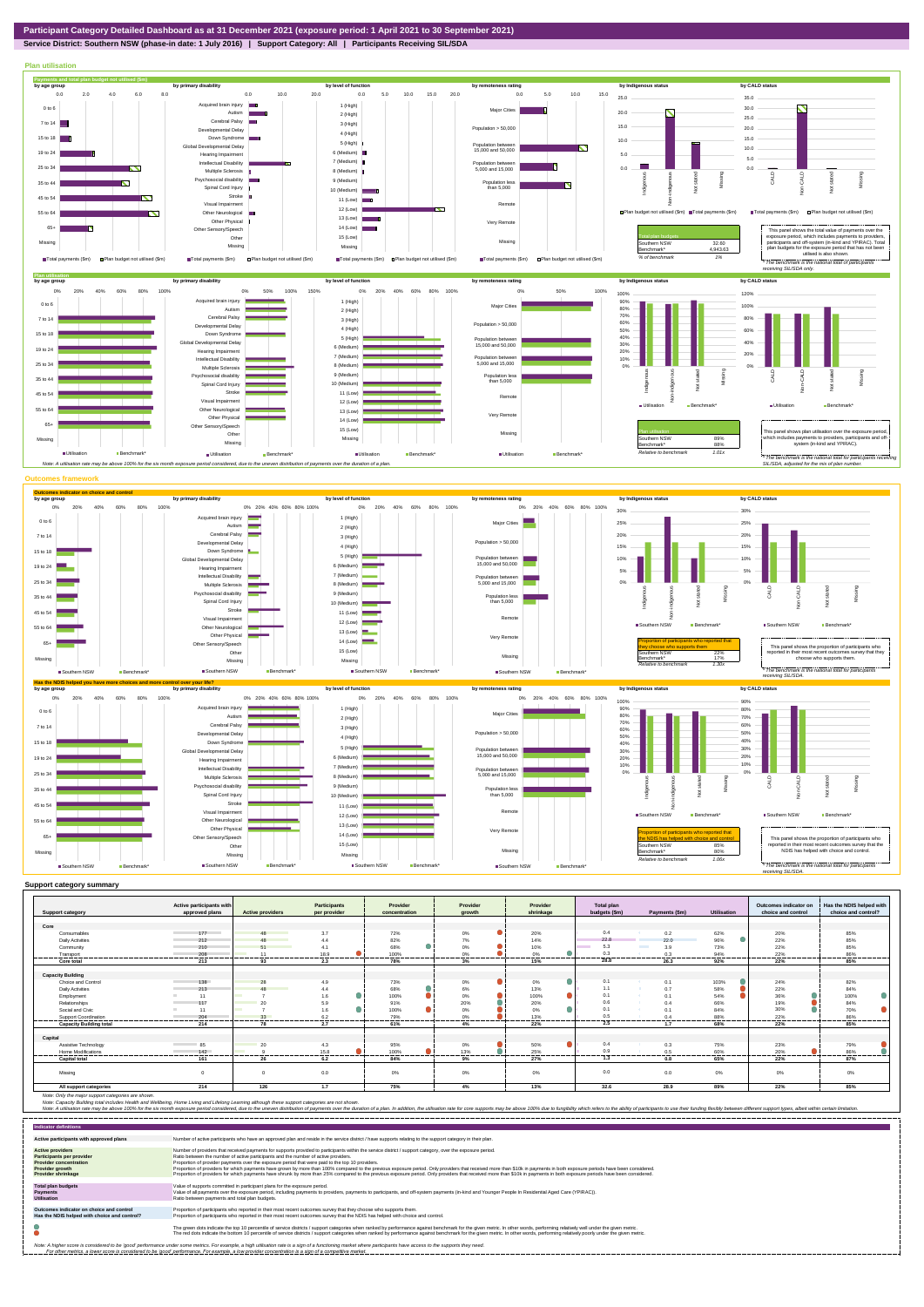## **Service District: Southern NSW (phase-in date: 1 July 2016) | Support Category: All | Participants Receiving SIL/SDA**

![](_page_3_Figure_0.jpeg)

| <b>Support category</b>                    | Active participants with<br>approved plans | <b>Active providers</b> | <b>Participants</b><br>per provider | Provider<br>concentration | Provider<br>arowth | Provider<br>shrinkage | <b>Total plan</b><br>budgets (\$m) | Payments (\$m)         | <b>Utilisation</b> | Outcomes indicator on<br>choice and control | Has the NDIS helped with<br>choice and control? |
|--------------------------------------------|--------------------------------------------|-------------------------|-------------------------------------|---------------------------|--------------------|-----------------------|------------------------------------|------------------------|--------------------|---------------------------------------------|-------------------------------------------------|
|                                            |                                            |                         |                                     |                           |                    |                       |                                    |                        |                    |                                             |                                                 |
| Core                                       |                                            |                         |                                     |                           |                    |                       |                                    |                        |                    |                                             |                                                 |
| Consumables                                | 177                                        | 48                      | 3.7                                 | 72%                       | 0%                 | 20%                   | 0.4                                | 0.2                    | 62%                | 20%                                         | 85%                                             |
| <b>Daily Activities</b>                    | 212                                        | 48                      | 4.4                                 | 82%                       | 7%                 | 14%                   | 22.8                               | 22.0                   | 96%                | 22%                                         | 85%                                             |
| Community                                  | 210                                        | 51                      | 4.1                                 | 68%                       | 0%                 | 10%                   | 5.3                                | <b>Contract</b><br>3.9 | 73%                | 22%                                         | 85%                                             |
| Transport                                  | 208                                        | 11                      | 18.9                                | 100%                      | 0%                 | 0%                    | 0.3                                | 0.3                    | 94%                | 22%                                         | 86%                                             |
| Core total                                 | 213                                        | 93                      | 2.3                                 | 78%                       | 3%                 | 15%                   | 28.8                               | 26.3                   | 92%                | 22%                                         | 85%                                             |
|                                            |                                            |                         |                                     |                           |                    |                       |                                    |                        |                    |                                             |                                                 |
| <b>Capacity Building</b>                   |                                            |                         |                                     |                           |                    |                       |                                    |                        |                    |                                             |                                                 |
| Choice and Control                         | 138                                        | 28                      | 4.9                                 | 73%                       | 0%                 | 0%                    | 0.1                                | 0.1                    | 103%               | 24%                                         | 82%                                             |
| <b>Daily Activities</b>                    | 213                                        |                         | 4.4                                 | 68%                       | 6%                 | 13%                   | 1.1                                | 0.7                    | 58%                | 22%                                         | 84%                                             |
| Employment                                 | 11                                         |                         | 1.6                                 | 100%                      | 0%                 | 100%                  | 0.1                                | 0.1                    | 54%                | 36%                                         | 100%                                            |
| Relationships                              | 117                                        | 20                      | 5.9                                 | 91%                       | 20%                | 20%                   | 0.6                                | 0.4                    | 66%                | 19%                                         | 84%                                             |
| Social and Civic                           | 11                                         |                         | 1.6                                 | 100%                      | 0%                 | 0%                    | 0 <sub>1</sub>                     | 0.1                    | 84%                | 30%                                         | 70%                                             |
| <b>Support Coordination</b>                | 204                                        | 33                      | 6.2                                 | 79%                       | 0%                 | 13%                   | 0.5                                | 0.4                    | 88%                | 22%                                         | 86%                                             |
| <b>Capacity Building total</b>             | <br>214                                    | -------<br>78           | ---------<br>2.7                    | --------<br>61%           | ---------<br>4%    | 22%                   | .<br>2.5                           | ---------<br>1.7       | .<br>68%           | <br>22%                                     | .<br>85%                                        |
|                                            |                                            |                         |                                     |                           |                    |                       |                                    |                        |                    |                                             |                                                 |
| Capital                                    | <b>Service Control</b>                     |                         |                                     |                           |                    |                       | 0.4                                |                        |                    |                                             |                                                 |
| Assistive Technology<br>Home Modifications | 85<br>142                                  | 20                      | 4.3<br>15.8                         | 95%<br>100%               | 0%<br>13%          | 50%<br>25%            | 0.9                                | 0.3                    | 75%                | 23%<br>20%                                  | 79%<br>86%                                      |
|                                            |                                            |                         | ------                              | ------                    |                    | .                     | 1.3                                | 0.5                    | 60%<br>------      | .                                           | ------                                          |
| <b>Capital total</b>                       | 161                                        | 26                      | 6.2                                 | 84%                       | 9%                 | 27%                   |                                    | 0.8                    | 65%                | 22%                                         | 87%                                             |
| Missing                                    | $\mathbf 0$                                | $\Omega$                | 0.0                                 | 0%                        | 0%                 | 0%                    | 0.0                                | 0.0                    | $0\%$              | 0%                                          | 0%                                              |
| All support categories                     | 214                                        | 126                     | 1.7                                 | 75%                       | 4%                 | 13%                   | 32.6                               | 28.9                   | 89%                | 22%                                         | 85%                                             |

| <b>Indicator definitions</b>                                                                                                                        |                                                                                                                                                                                                                                                                                                                                                                                                                                                                                                                                                                                                                                                                                                                                                                                                                 |
|-----------------------------------------------------------------------------------------------------------------------------------------------------|-----------------------------------------------------------------------------------------------------------------------------------------------------------------------------------------------------------------------------------------------------------------------------------------------------------------------------------------------------------------------------------------------------------------------------------------------------------------------------------------------------------------------------------------------------------------------------------------------------------------------------------------------------------------------------------------------------------------------------------------------------------------------------------------------------------------|
| Active participants with approved plans                                                                                                             | Number of active participants who have an approved plan and reside in the service district / have supports relating to the support category in their plan.                                                                                                                                                                                                                                                                                                                                                                                                                                                                                                                                                                                                                                                      |
| <b>Active providers</b><br><b>Participants per provider</b><br><b>Provider concentration</b><br><b>Provider growth</b><br><b>Provider shrinkage</b> | Number of providers that received payments for supports provided to participants within the service district / support category, over the exposure period,<br>Ratio between the number of active participants and the number of active providers.<br>Proportion of provider payments over the exposure period that were paid to the top 10 providers.<br>Proportion of providers for which payments have grown by more than 100% compared to the previous exposure period. Only providers that received more than \$10k in payments in both exposure periods have been considered.<br>Proportion of providers for which payments have shrunk by more than 25% compared to the previous exposure period. Only providers that received more than \$10k in payments in both exposure periods have been considered. |
| <b>Total plan budgets</b><br>Payments<br><b>Utilisation</b>                                                                                         | Value of supports committed in participant plans for the exposure period.<br>Value of all payments over the exposure period, including payments to providers, payments to participants, and off-system payments (in-kind and Younger People In Residential Aged Care (YPIRAC)).<br>Ratio between payments and total plan budgets.                                                                                                                                                                                                                                                                                                                                                                                                                                                                               |
| Outcomes indicator on choice and control<br>Has the NDIS helped with choice and control?                                                            | Proportion of participants who reported in their most recent outcomes survey that they choose who supports them.<br>Proportion of participants who reported in their most recent outcomes survey that the NDIS has helped with choice and control.                                                                                                                                                                                                                                                                                                                                                                                                                                                                                                                                                              |
|                                                                                                                                                     | The green dots indicate the top 10 percentile of service districts / support categories when ranked by performance against benchmark for the given metric. In other words, performing relatively well under the given metric.<br>The red dots indicate the bottom 10 percentile of service districts / support categories when ranked by performance against benchmark for the given metric. In other words, performing relatively poorly under the given metri                                                                                                                                                                                                                                                                                                                                                 |
|                                                                                                                                                     | Note: A higher score is considered to be 'good' performance under some metrics. For example, a high utilisation rate is a sign of a functioning market where participants have access to the supports they need.<br>For other metrics, a lower score is considered to be 'good' performance. For example, a low provider concentration is a sign of a competitive market.                                                                                                                                                                                                                                                                                                                                                                                                                                       |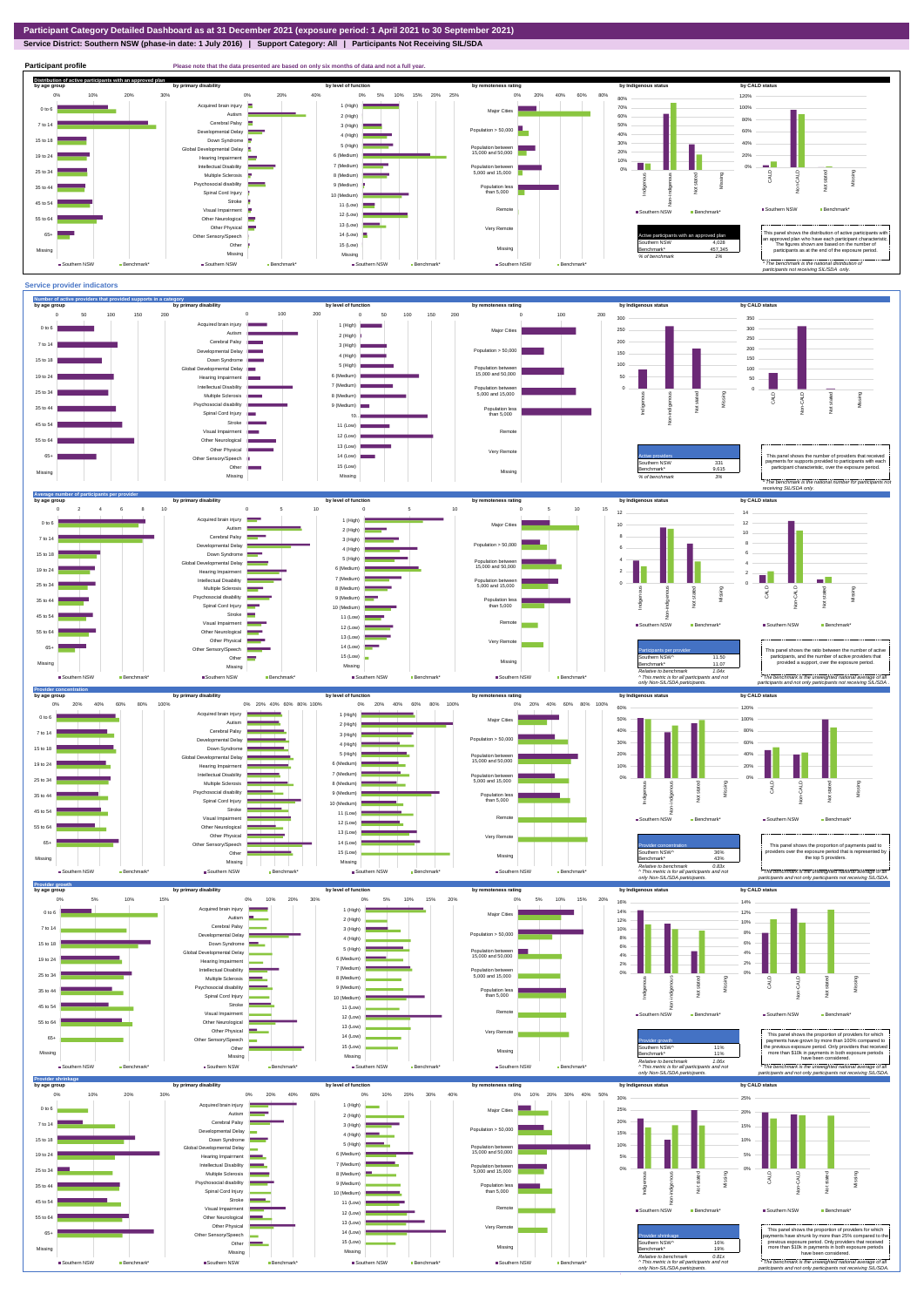## **Service District: Southern NSW (phase-in date: 1 July 2016) | Support Category: All | Participants Not Receiving SIL/SDA**

![](_page_4_Figure_3.jpeg)

**Participant profile Please note that the data presented are based on only six months of data and not a full year. Distribution of active participants with an approved plan** by age group by primary disability by remoteness rating by hdigenous status by CALD status 0% 5% 10% 15% 20% 25% 0% 20% 40% 60% 80% 120% 0% 10% 20% 30% 0% 20% 40% 80% d brain injury 1 (High)  $\blacksquare$ 70% 100% Major Cities 0 to 6 a. Autism **I** 2 (High) 60% 80% Cerebral Palsy 7 to 14 3 (High) 50% Population > 50,000  $\overline{\phantom{a}}$ ental Delay 60% 40% 4 (High) 15 to 18 Down Syndrome 30% 40% 5 (High) bal Developmental Delay Population between 15,000 and 50,000 20% 6 (Medium) 20% 19 to 24 Hearing Impairment  $\equiv$ 10%  $\sim$   $\sim$ 7 (Medium) Intellectual Disability **The Co** 0% Population between 5,000 and 15,000 0% 25 to 34 Multiple Sclerosis CALD Non-CALD Missing 8 (Medium) anous Non-indigenous .<br>cial disability Missing Indigeno 9 (Medium) Population less than 5,000 nstated in 1916.<br>Note 35 to 44  $\frac{1}{2}$ Spinal Cord Injury 출 10 (Medium) Stroke 45 to 54 11 (Low) å Remote Southern NSW **Benchmark** Visual Impairment ■ Southern NSW Benchmark\* 12 (Low) 55 to 64 Other Neurological 13 (Low) Other Physical Very Remote Active participants with an approved plan This panel shows the distribution of active participants with an approved plan who have each participant characteristic. 65+ Sensory/Speech 14 (Low) Other 15 (Low) Southern NSW 4,028 The figures shown are based on the number of participants as at the end of the exposure period. Missing 457,345 Missing Missing Missing *% of benchmark 1%* ■ Southern NSW Benchmark\* ■ Southern NSW Benchmark\* Southern NSW Benchmark Southern NSW Benchmark *\* The benchmark is the national distribution of participants not receiving SIL/SDA only.*